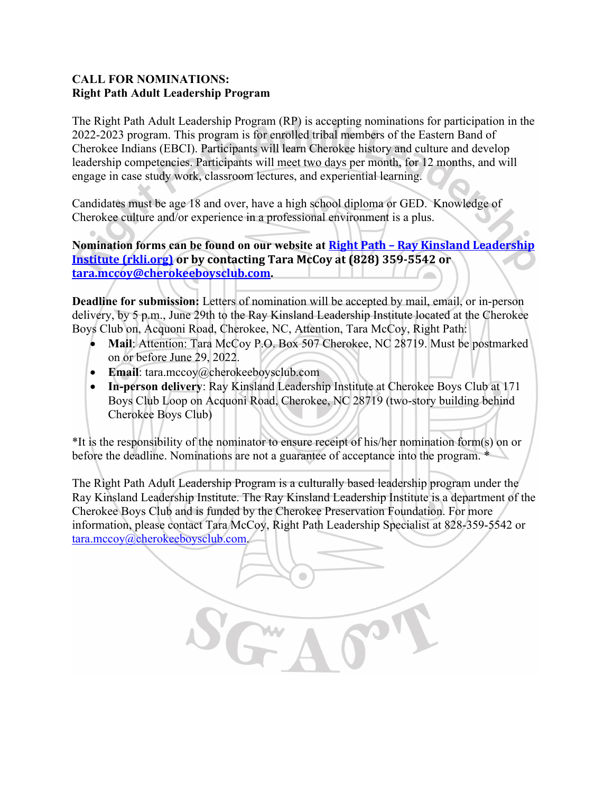## **CALL FOR NOMINATIONS: Right Path Adult Leadership Program**

The Right Path Adult Leadership Program (RP) is accepting nominations for participation in the 2022-2023 program. This program is for enrolled tribal members of the Eastern Band of Cherokee Indians (EBCI). Participants will learn Cherokee history and culture and develop leadership competencies. Participants will meet two days per month, for 12 months, and will engage in case study work, classroom lectures, and experiential learning.

Candidates must be age 18 and over, have a high school diploma or GED. Knowledge of Cherokee culture and/or experience in a professional environment is a plus.

**Nomination forms can be found on our website at Right Path – [Ray Kinsland Leadership](http://www.rkli.org/right-path/)  [Institute \(rkli.org\)](http://www.rkli.org/right-path/) or by contacting Tara McCoy at (828) 359-5542 or [tara.mccoy@cherokeeboysclub.com.](mailto:tara.mccoy@cherokeeboysclub.com)** 

**Deadline for submission:** Letters of nomination will be accepted by mail, email, or in-person delivery, by 5 p.m., June 29th to the Ray Kinsland Leadership Institute located at the Cherokee Boys Club on, Acquoni Road, Cherokee, NC, Attention, Tara McCoy, Right Path:

- **Mail**: Attention: Tara McCoy P.O. Box 507 Cherokee, NC 28719. Must be postmarked on or before June 29, 2022.
- **Email**: tara.mccoy@cherokeeboysclub.com
- **In-person delivery**: Ray Kinsland Leadership Institute at Cherokee Boys Club at 171 Boys Club Loop on Acquoni Road, Cherokee, NC 28719 (two-story building behind Cherokee Boys Club)

\*It is the responsibility of the nominator to ensure receipt of his/her nomination form(s) on or before the deadline. Nominations are not a guarantee of acceptance into the program.  $*$ 

The Right Path Adult Leadership Program is a culturally based leadership program under the Ray Kinsland Leadership Institute. The Ray Kinsland Leadership Institute is a department of the Cherokee Boys Club and is funded by the Cherokee Preservation Foundation. For more information, please contact Tara McCoy, Right Path Leadership Specialist at 828-359-5542 or [tara.mccoy@cherokeeboysclub.com.](mailto:tara.mccoy@cherokeeboysclub.com)